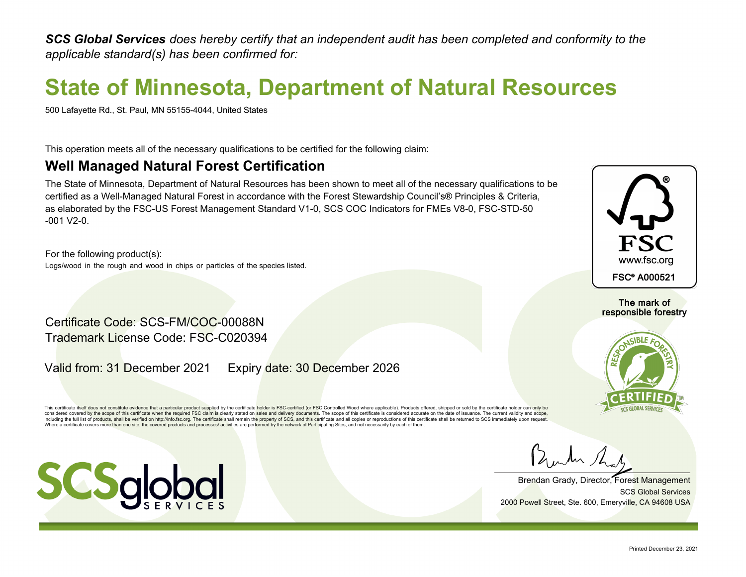*SCS Global Services does hereby certify that an independent audit has been completed and conformity to the applicable standard(s) has been confirmed for:*

## **State of Minnesota, Department of Natural Resources**

500 Lafayette Rd., St. Paul, MN 55155-4044, United States

This operation meets all of the necessary qualifications to be certified for the following claim:

### **Well Managed Natural Forest Certification**

The State of Minnesota, Department of Natural Resources has been shown to meet all of the necessary qualifications to be certified as a Well-Managed Natural Forest in accordance with the Forest Stewardship Council's® Principles & Criteria, as elaborated by the FSC-US Forest Management Standard V1-0, SCS COC Indicators for FMEs V8-0, FSC-STD-50  $-001$  V<sub>2</sub> $-0$ .

For the following product(s): Logs/wood in the rough and wood in chips or particles of the species listed.

Certificate Code: SCS-FM/COC-00088N Trademark License Code: FSC-C020394

Valid from: 31 December 2021 Expiry date: 30 December 2026

This certificate itself does not constitute evidence that a particular product supplied by the certificate holder is FSC-certified (or FSC Controlled Wood where applicable). Products offered, shipped or sold by the certifi considered covered by the scope of this certificate when the required FSC claim is clearly stated on sales and delivery documents. The scope of this certificate is considered accurate on the date of issuance. The current v including the full list of products, shall be verified on http://info.fsc.org. The certificate shall remain the property of SCS, and this certificate and all copies or reproductions of this certificate shall be returned to Where a certificate covers more than one site, the covered products and processes/ activities are performed by the network of Participating Sites, and not necessarily by each of them.



The mark of responsible forestry



Brendan Grady, Director, Forest Management 2000 Powell Street, Ste. 600, Emeryville, CA 94608 USA SCS Global Services